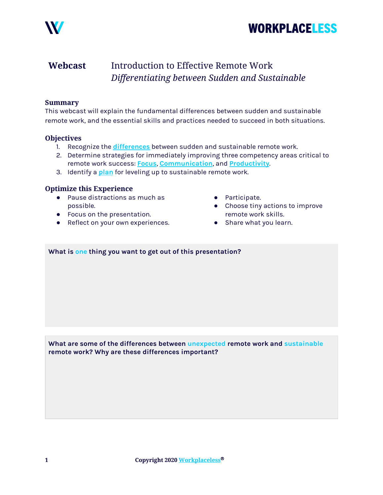



## Webcast Introduction to Effective Remote Work Differentiating between Sudden and Sustainable

### Summary

This webcast will explain the fundamental differences between sudden and sustainable remote work, and the essential skills and practices needed to succeed in both situations.

### **Objectives**

- 1. Recognize the *[differences](#page-0-0)* between sudden and sustainable remote work.
- 2. Determine strategies for immediately improving three competency areas critical to remote work success: [Focus](#page-1-0), [Communication](#page-2-0), and [Productivity](#page-3-0).
- 3. Identify a [plan](#page-4-0) for leveling up to sustainable remote work.

### Optimize this Experience

- Pause distractions as much as possible.
- Focus on the presentation.
- Reflect on your own experiences.
- Participate.
- Choose tiny actions to improve remote work skills.
- Share what you learn.

### What is one thing you want to get out of this presentation?

<span id="page-0-0"></span>What are some of the differences between unexpected remote work and sustainable remote work? Why are these differences important?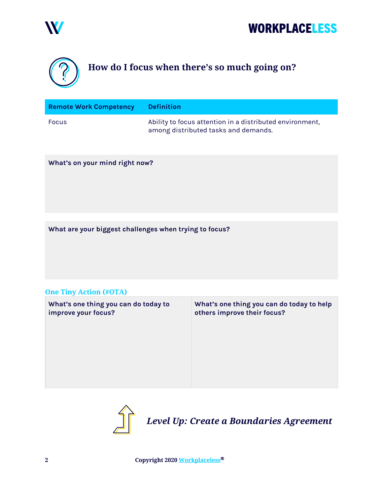





## <span id="page-1-0"></span>How do I focus when there's so much going on?

| <b>Remote Work Competency</b> | <b>Definition</b>                                                                                |
|-------------------------------|--------------------------------------------------------------------------------------------------|
| Focus                         | Ability to focus attention in a distributed environment,<br>among distributed tasks and demands. |

### What's on your mind right now?

What are your biggest challenges when trying to focus?

### One Tiny Action (#OTA)

| What's one thing you can do today to<br>improve your focus? | What's one thing you can do today to help<br>others improve their focus? |
|-------------------------------------------------------------|--------------------------------------------------------------------------|
|                                                             |                                                                          |
|                                                             |                                                                          |
|                                                             |                                                                          |



Level Up: Create a Boundaries Agreement

2 Copyright 2020 [Workplaceless](http://www.workplaceless.com/)®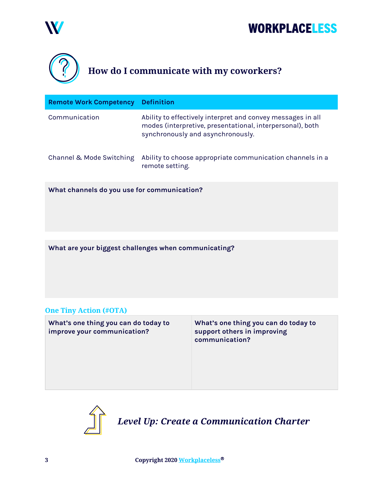

# **WORKPLACELESS**

<span id="page-2-0"></span>

| <b>Remote Work Competency</b>               | <b>Definition</b>                                                                                                                                             |
|---------------------------------------------|---------------------------------------------------------------------------------------------------------------------------------------------------------------|
| Communication                               | Ability to effectively interpret and convey messages in all<br>modes (interpretive, presentational, interpersonal), both<br>synchronously and asynchronously. |
| Channel & Mode Switching                    | Ability to choose appropriate communication channels in a<br>remote setting.                                                                                  |
| What channels do you use for communication? |                                                                                                                                                               |

What are your biggest challenges when communicating?

## One Tiny Action (#OTA)

| What's one thing you can do today to<br>improve your communication? | What's one thing you can do today to<br>support others in improving<br>communication? |
|---------------------------------------------------------------------|---------------------------------------------------------------------------------------|
|                                                                     |                                                                                       |



3 Copyright 2020 [Workplaceless](http://www.workplaceless.com/)®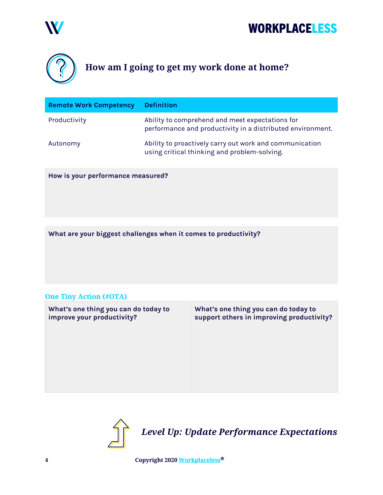

# **WORKPLACELESS**



## <span id="page-3-0"></span>How am I going to get my work done at home?

| <b>Remote Work Competency</b> | <b>Definition</b>                                                                                             |
|-------------------------------|---------------------------------------------------------------------------------------------------------------|
| Productivity                  | Ability to comprehend and meet expectations for<br>performance and productivity in a distributed environment. |
| Autonomy                      | Ability to proactively carry out work and communication<br>using critical thinking and problem-solving.       |

How is your performance measured?

What are your biggest challenges when it comes to productivity?

## One Tiny Action (#OTA)

| What's one thing you can do today to<br>improve your productivity? | What's one thing you can do today to<br>support others in improving productivity? |
|--------------------------------------------------------------------|-----------------------------------------------------------------------------------|
|                                                                    |                                                                                   |
|                                                                    |                                                                                   |
|                                                                    |                                                                                   |



4 Copyright 2020 [Workplaceless](http://www.workplaceless.com/)®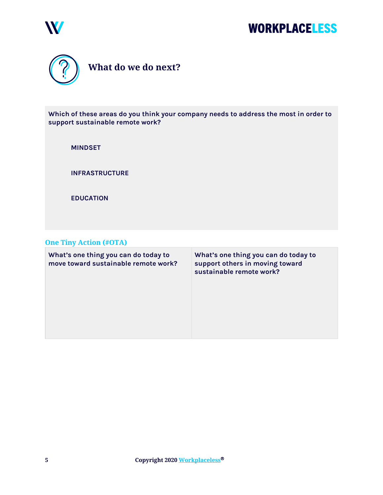



<span id="page-4-0"></span>

Which of these areas do you think your company needs to address the most in order to support sustainable remote work?

MINDSET

INFRASTRUCTURE

EDUCATION

## One Tiny Action (#OTA)

| What's one thing you can do today to<br>move toward sustainable remote work? | What's one thing you can do today to<br>support others in moving toward<br>sustainable remote work? |
|------------------------------------------------------------------------------|-----------------------------------------------------------------------------------------------------|
|                                                                              |                                                                                                     |